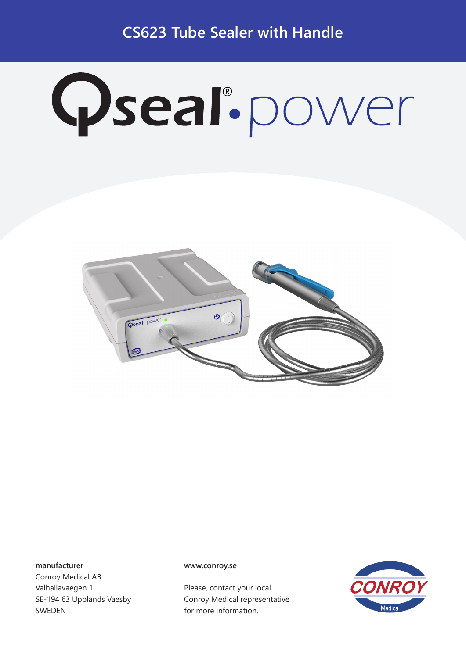**CS623 Tube Sealer with Handle**

# Qseal.power



#### **manufacturer**

Conroy Medical AB Valhallavaegen 1 SE-194 63 Upplands Vaesby SWEDEN

#### **www.conroy.se**

Please, contact your local Conroy Medical representative for more information.